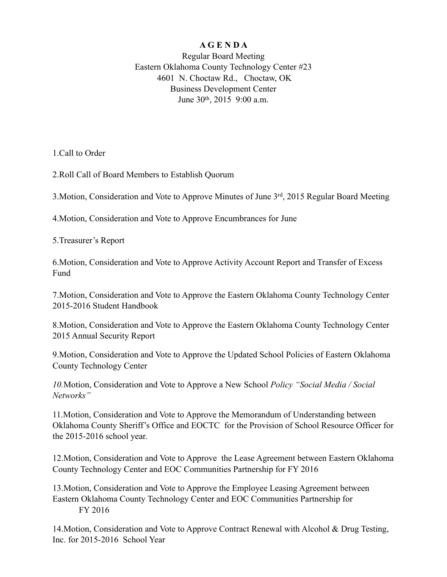## **A G E N D A**

Regular Board Meeting Eastern Oklahoma County Technology Center #23 4601 N. Choctaw Rd., Choctaw, OK Business Development Center June 30th, 2015 9:00 a.m.

1.Call to Order

2.Roll Call of Board Members to Establish Quorum

3.Motion, Consideration and Vote to Approve Minutes of June 3rd, 2015 Regular Board Meeting

4.Motion, Consideration and Vote to Approve Encumbrances for June

5.Treasurer's Report

6.Motion, Consideration and Vote to Approve Activity Account Report and Transfer of Excess Fund

7.Motion, Consideration and Vote to Approve the Eastern Oklahoma County Technology Center 2015-2016 Student Handbook

8.Motion, Consideration and Vote to Approve the Eastern Oklahoma County Technology Center 2015 Annual Security Report

9.Motion, Consideration and Vote to Approve the Updated School Policies of Eastern Oklahoma County Technology Center

*10.*Motion, Consideration and Vote to Approve a New School *Policy "Social Media / Social Networks"* 

11.Motion, Consideration and Vote to Approve the Memorandum of Understanding between Oklahoma County Sheriff's Office and EOCTC for the Provision of School Resource Officer for the 2015-2016 school year.

12.Motion, Consideration and Vote to Approve the Lease Agreement between Eastern Oklahoma County Technology Center and EOC Communities Partnership for FY 2016

13.Motion, Consideration and Vote to Approve the Employee Leasing Agreement between Eastern Oklahoma County Technology Center and EOC Communities Partnership for FY 2016

14.Motion, Consideration and Vote to Approve Contract Renewal with Alcohol & Drug Testing, Inc. for 2015-2016 School Year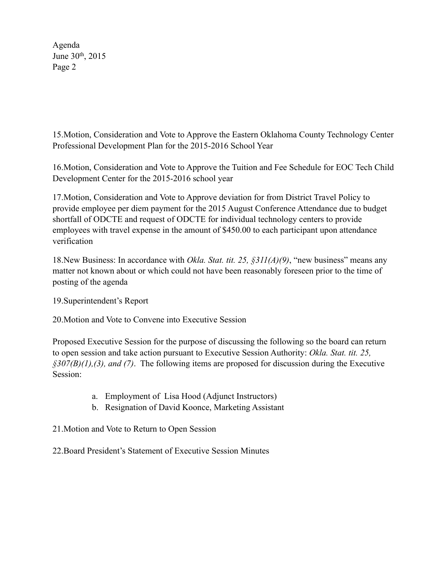Agenda June 30th, 2015 Page 2

15.Motion, Consideration and Vote to Approve the Eastern Oklahoma County Technology Center Professional Development Plan for the 2015-2016 School Year

16.Motion, Consideration and Vote to Approve the Tuition and Fee Schedule for EOC Tech Child Development Center for the 2015-2016 school year

17.Motion, Consideration and Vote to Approve deviation for from District Travel Policy to provide employee per diem payment for the 2015 August Conference Attendance due to budget shortfall of ODCTE and request of ODCTE for individual technology centers to provide employees with travel expense in the amount of \$450.00 to each participant upon attendance verification

18.New Business: In accordance with *Okla. Stat. tit. 25, §311(A)(9)*, "new business" means any matter not known about or which could not have been reasonably foreseen prior to the time of posting of the agenda

19.Superintendent's Report

20.Motion and Vote to Convene into Executive Session

Proposed Executive Session for the purpose of discussing the following so the board can return to open session and take action pursuant to Executive Session Authority: *Okla. Stat. tit. 25, §307(B)(1),(3), and (7)*. The following items are proposed for discussion during the Executive Session:

- a. Employment of Lisa Hood (Adjunct Instructors)
- b. Resignation of David Koonce, Marketing Assistant

21.Motion and Vote to Return to Open Session

22.Board President's Statement of Executive Session Minutes